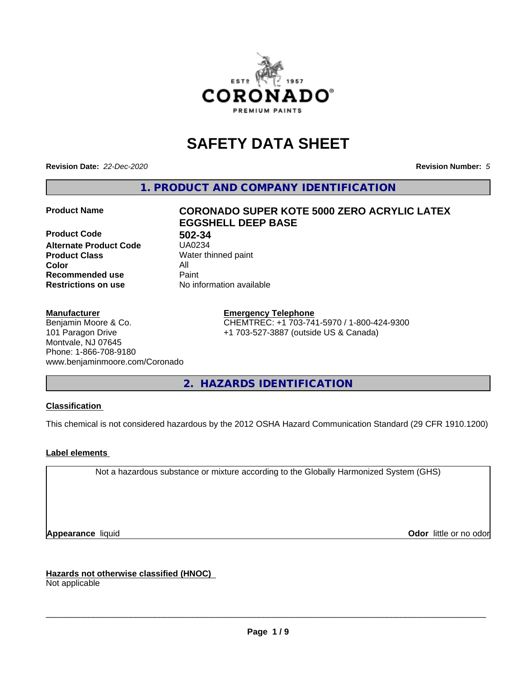

# **SAFETY DATA SHEET**

**Revision Date:** *22-Dec-2020* **Revision Number:** *5*

**1. PRODUCT AND COMPANY IDENTIFICATION**

**Product Code 61 1802-34**<br>**Alternate Product Code 61 150234 Alternate Product Code Product Class** Water thinned paint<br> **Color** All **Color** All **Recommended use Caint Restrictions on use** No information available

# **Product Name CORONADO SUPER KOTE 5000 ZERO ACRYLIC LATEX EGGSHELL DEEP BASE**

#### **Manufacturer**

Benjamin Moore & Co. 101 Paragon Drive Montvale, NJ 07645 Phone: 1-866-708-9180 www.benjaminmoore.com/Coronado

#### **Emergency Telephone**

CHEMTREC: +1 703-741-5970 / 1-800-424-9300 +1 703-527-3887 (outside US & Canada)

**2. HAZARDS IDENTIFICATION**

#### **Classification**

This chemical is not considered hazardous by the 2012 OSHA Hazard Communication Standard (29 CFR 1910.1200)

#### **Label elements**

Not a hazardous substance or mixture according to the Globally Harmonized System (GHS)

**Appearance** liquid **Contract Contract Contract Contract Contract Contract Contract Contract Contract Contract Contract Contract Contract Contract Contract Contract Contract Contract Contract Contract Contract Contract Con** 

**Hazards not otherwise classified (HNOC)**

Not applicable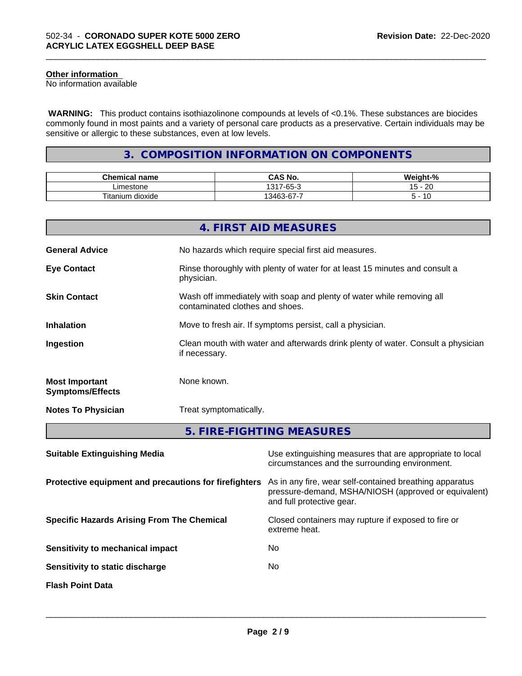#### **Other information**

No information available

 **WARNING:** This product contains isothiazolinone compounds at levels of <0.1%. These substances are biocides commonly found in most paints and a variety of personal care products as a preservative. Certain individuals may be sensitive or allergic to these substances, even at low levels.

\_\_\_\_\_\_\_\_\_\_\_\_\_\_\_\_\_\_\_\_\_\_\_\_\_\_\_\_\_\_\_\_\_\_\_\_\_\_\_\_\_\_\_\_\_\_\_\_\_\_\_\_\_\_\_\_\_\_\_\_\_\_\_\_\_\_\_\_\_\_\_\_\_\_\_\_\_\_\_\_\_\_\_\_\_\_\_\_\_\_\_\_\_

### **3. COMPOSITION INFORMATION ON COMPONENTS**

| <b>Chemical name</b>           | $\sim$ 11<br>$\neg$ $\wedge$<br>CAS No. | .<br>∵veight-"<br>-70 |
|--------------------------------|-----------------------------------------|-----------------------|
| imestone                       | $\sim$<br>1317<br>-65-                  | ററ<br>. .<br>∼<br>J   |
| Titanium<br><br>. .<br>dioxide | $\sim$<br>-<br>13462<br>-07-د           | $\overline{1}$<br>١υ  |

|                                                  | 4. FIRST AID MEASURES                                                                                    |
|--------------------------------------------------|----------------------------------------------------------------------------------------------------------|
| <b>General Advice</b>                            | No hazards which require special first aid measures.                                                     |
| <b>Eye Contact</b>                               | Rinse thoroughly with plenty of water for at least 15 minutes and consult a<br>physician.                |
| <b>Skin Contact</b>                              | Wash off immediately with soap and plenty of water while removing all<br>contaminated clothes and shoes. |
| <b>Inhalation</b>                                | Move to fresh air. If symptoms persist, call a physician.                                                |
| Ingestion                                        | Clean mouth with water and afterwards drink plenty of water. Consult a physician<br>if necessary.        |
| <b>Most Important</b><br><b>Symptoms/Effects</b> | None known.                                                                                              |
| <b>Notes To Physician</b>                        | Treat symptomatically.                                                                                   |
|                                                  | 5. FIRE-FIGHTING MEASURES                                                                                |

| <b>Suitable Extinguishing Media</b>                   | Use extinguishing measures that are appropriate to local<br>circumstances and the surrounding environment.                                   |
|-------------------------------------------------------|----------------------------------------------------------------------------------------------------------------------------------------------|
| Protective equipment and precautions for firefighters | As in any fire, wear self-contained breathing apparatus<br>pressure-demand, MSHA/NIOSH (approved or equivalent)<br>and full protective gear. |
| <b>Specific Hazards Arising From The Chemical</b>     | Closed containers may rupture if exposed to fire or<br>extreme heat.                                                                         |
| Sensitivity to mechanical impact                      | No.                                                                                                                                          |
| Sensitivity to static discharge                       | No.                                                                                                                                          |
| <b>Flash Point Data</b>                               |                                                                                                                                              |
|                                                       |                                                                                                                                              |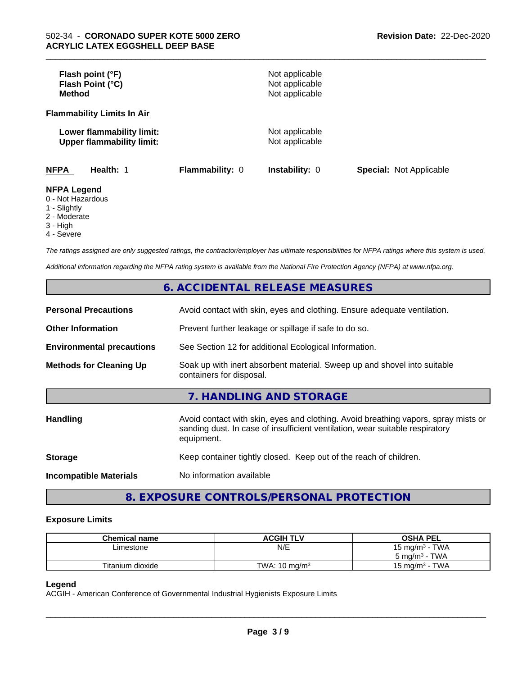| Flash point (°F)<br>Flash Point (°C)<br><b>Method</b>                |                 | Not applicable<br>Not applicable<br>Not applicable |                                |
|----------------------------------------------------------------------|-----------------|----------------------------------------------------|--------------------------------|
| <b>Flammability Limits In Air</b>                                    |                 |                                                    |                                |
| Lower flammability limit:<br><b>Upper flammability limit:</b>        |                 | Not applicable<br>Not applicable                   |                                |
| <b>NFPA</b><br>Health: 1                                             | Flammability: 0 | <b>Instability: 0</b>                              | <b>Special: Not Applicable</b> |
| <b>NFPA Legend</b><br>0 - Not Hazardous<br>$\overline{A}$ Clientable |                 |                                                    |                                |

\_\_\_\_\_\_\_\_\_\_\_\_\_\_\_\_\_\_\_\_\_\_\_\_\_\_\_\_\_\_\_\_\_\_\_\_\_\_\_\_\_\_\_\_\_\_\_\_\_\_\_\_\_\_\_\_\_\_\_\_\_\_\_\_\_\_\_\_\_\_\_\_\_\_\_\_\_\_\_\_\_\_\_\_\_\_\_\_\_\_\_\_\_

#### 1 - Slightly

- 2 Moderate
- 3 High
- 4 Severe

*The ratings assigned are only suggested ratings, the contractor/employer has ultimate responsibilities for NFPA ratings where this system is used.*

*Additional information regarding the NFPA rating system is available from the National Fire Protection Agency (NFPA) at www.nfpa.org.*

#### **6. ACCIDENTAL RELEASE MEASURES**

| <b>Personal Precautions</b>      | Avoid contact with skin, eyes and clothing. Ensure adequate ventilation.                                                                                                         |  |  |
|----------------------------------|----------------------------------------------------------------------------------------------------------------------------------------------------------------------------------|--|--|
| <b>Other Information</b>         | Prevent further leakage or spillage if safe to do so.                                                                                                                            |  |  |
| <b>Environmental precautions</b> | See Section 12 for additional Ecological Information.                                                                                                                            |  |  |
| <b>Methods for Cleaning Up</b>   | Soak up with inert absorbent material. Sweep up and shovel into suitable<br>containers for disposal.                                                                             |  |  |
|                                  | 7. HANDLING AND STORAGE                                                                                                                                                          |  |  |
| Handling                         | Avoid contact with skin, eyes and clothing. Avoid breathing vapors, spray mists or<br>sanding dust. In case of insufficient ventilation, wear suitable respiratory<br>equipment. |  |  |
| <b>Storage</b>                   | Keep container tightly closed. Keep out of the reach of children.                                                                                                                |  |  |
| <b>Incompatible Materials</b>    | No information available                                                                                                                                                         |  |  |

## **8. EXPOSURE CONTROLS/PERSONAL PROTECTION**

#### **Exposure Limits**

| <b>Chemical name</b> | <b>ACGIH TLV</b>         | <b>OSHA PEL</b>                    |
|----------------------|--------------------------|------------------------------------|
| Limestone            | N/E                      | · TWA<br>15 mg/m <sup>3</sup>      |
|                      |                          | <b>TWA</b><br>$5 \text{ ma/m}^3$ - |
| Titanium dioxide     | TWA: $10 \text{ ma/m}^3$ | <b>TWA</b><br>15 ma/m $^3$         |

#### **Legend**

ACGIH - American Conference of Governmental Industrial Hygienists Exposure Limits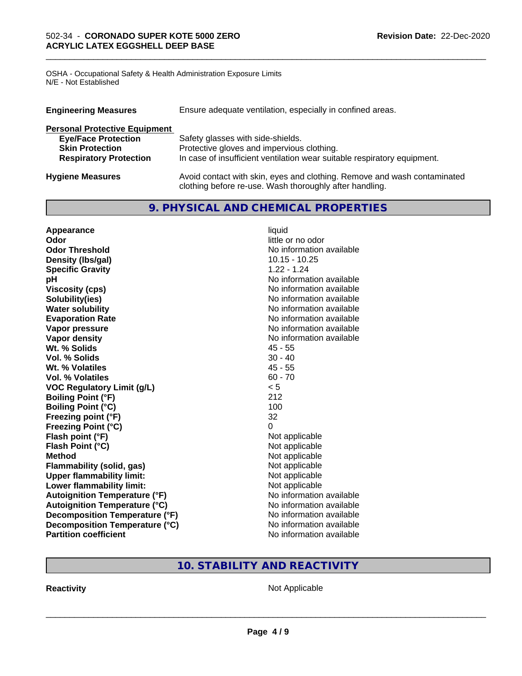OSHA - Occupational Safety & Health Administration Exposure Limits N/E - Not Established

| Ensure adequate ventilation, especially in confined areas.<br><b>Engineering Measures</b> |                                                                                                                                     |  |
|-------------------------------------------------------------------------------------------|-------------------------------------------------------------------------------------------------------------------------------------|--|
| <b>Personal Protective Equipment</b>                                                      |                                                                                                                                     |  |
| <b>Eye/Face Protection</b>                                                                | Safety glasses with side-shields.                                                                                                   |  |
| <b>Skin Protection</b>                                                                    | Protective gloves and impervious clothing.                                                                                          |  |
| <b>Respiratory Protection</b>                                                             | In case of insufficient ventilation wear suitable respiratory equipment.                                                            |  |
| <b>Hygiene Measures</b>                                                                   | Avoid contact with skin, eyes and clothing. Remove and wash contaminated<br>clothing before re-use. Wash thoroughly after handling. |  |

\_\_\_\_\_\_\_\_\_\_\_\_\_\_\_\_\_\_\_\_\_\_\_\_\_\_\_\_\_\_\_\_\_\_\_\_\_\_\_\_\_\_\_\_\_\_\_\_\_\_\_\_\_\_\_\_\_\_\_\_\_\_\_\_\_\_\_\_\_\_\_\_\_\_\_\_\_\_\_\_\_\_\_\_\_\_\_\_\_\_\_\_\_

#### **9. PHYSICAL AND CHEMICAL PROPERTIES**

| Appearance                           | liquid                   |
|--------------------------------------|--------------------------|
| Odor                                 | little or no odor        |
| <b>Odor Threshold</b>                | No information available |
| Density (Ibs/gal)                    | $10.15 - 10.25$          |
| <b>Specific Gravity</b>              | $1.22 - 1.24$            |
| pH                                   | No information available |
| <b>Viscosity (cps)</b>               | No information available |
| Solubility(ies)                      | No information available |
| <b>Water solubility</b>              | No information available |
| <b>Evaporation Rate</b>              | No information available |
| Vapor pressure                       | No information available |
| Vapor density                        | No information available |
| Wt. % Solids                         | 45 - 55                  |
| <b>Vol. % Solids</b>                 | $30 - 40$                |
| Wt. % Volatiles                      | $45 - 55$                |
| Vol. % Volatiles                     | $60 - 70$                |
| <b>VOC Regulatory Limit (g/L)</b>    | < 5                      |
| <b>Boiling Point (°F)</b>            | 212                      |
| <b>Boiling Point (°C)</b>            | 100                      |
| Freezing point (°F)                  | 32                       |
| <b>Freezing Point (°C)</b>           | 0                        |
| Flash point (°F)                     | Not applicable           |
| Flash Point (°C)                     | Not applicable           |
| <b>Method</b>                        | Not applicable           |
| <b>Flammability (solid, gas)</b>     | Not applicable           |
| <b>Upper flammability limit:</b>     | Not applicable           |
| Lower flammability limit:            | Not applicable           |
| <b>Autoignition Temperature (°F)</b> | No information available |
| <b>Autoignition Temperature (°C)</b> | No information available |
| Decomposition Temperature (°F)       | No information available |
| Decomposition Temperature (°C)       | No information available |
| <b>Partition coefficient</b>         | No information available |

## **10. STABILITY AND REACTIVITY**

**Reactivity Not Applicable** Not Applicable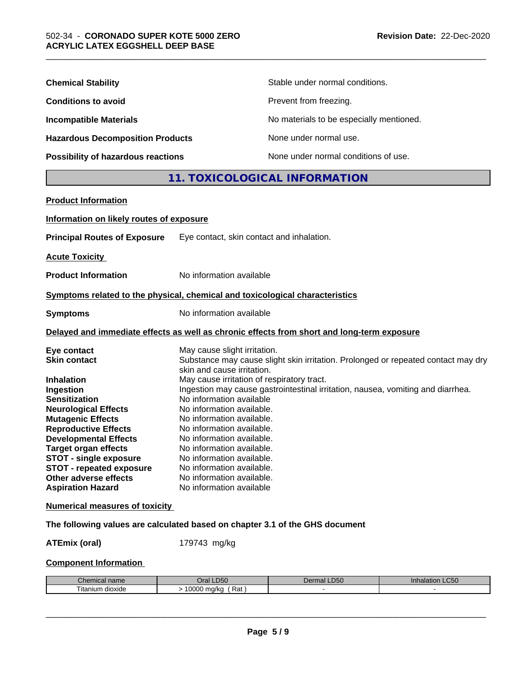| <b>Chemical Stability</b>               | Stable under normal conditions.          |
|-----------------------------------------|------------------------------------------|
| <b>Conditions to avoid</b>              | Prevent from freezing.                   |
| <b>Incompatible Materials</b>           | No materials to be especially mentioned. |
| <b>Hazardous Decomposition Products</b> | None under normal use.                   |
| Possibility of hazardous reactions      | None under normal conditions of use.     |

#### **11. TOXICOLOGICAL INFORMATION**

| Information on likely routes of exposure<br>Eye contact, skin contact and inhalation.<br>No information available<br>Symptoms related to the physical, chemical and toxicological characteristics<br>No information available<br>Delayed and immediate effects as well as chronic effects from short and long-term exposure<br>May cause slight irritation.<br>Substance may cause slight skin irritation. Prolonged or repeated contact may dry<br>skin and cause irritation.<br>May cause irritation of respiratory tract.<br>Ingestion may cause gastrointestinal irritation, nausea, vomiting and diarrhea.<br>No information available<br>No information available.<br>No information available.<br>No information available.<br>No information available.<br>No information available.<br>No information available.<br>No information available.<br>No information available.<br>No information available<br>The following values are calculated based on chapter 3.1 of the GHS document | <b>Product Information</b>            |  |
|-------------------------------------------------------------------------------------------------------------------------------------------------------------------------------------------------------------------------------------------------------------------------------------------------------------------------------------------------------------------------------------------------------------------------------------------------------------------------------------------------------------------------------------------------------------------------------------------------------------------------------------------------------------------------------------------------------------------------------------------------------------------------------------------------------------------------------------------------------------------------------------------------------------------------------------------------------------------------------------------------|---------------------------------------|--|
|                                                                                                                                                                                                                                                                                                                                                                                                                                                                                                                                                                                                                                                                                                                                                                                                                                                                                                                                                                                                 |                                       |  |
|                                                                                                                                                                                                                                                                                                                                                                                                                                                                                                                                                                                                                                                                                                                                                                                                                                                                                                                                                                                                 | <b>Principal Routes of Exposure</b>   |  |
|                                                                                                                                                                                                                                                                                                                                                                                                                                                                                                                                                                                                                                                                                                                                                                                                                                                                                                                                                                                                 | <b>Acute Toxicity</b>                 |  |
|                                                                                                                                                                                                                                                                                                                                                                                                                                                                                                                                                                                                                                                                                                                                                                                                                                                                                                                                                                                                 | <b>Product Information</b>            |  |
|                                                                                                                                                                                                                                                                                                                                                                                                                                                                                                                                                                                                                                                                                                                                                                                                                                                                                                                                                                                                 |                                       |  |
|                                                                                                                                                                                                                                                                                                                                                                                                                                                                                                                                                                                                                                                                                                                                                                                                                                                                                                                                                                                                 | <b>Symptoms</b>                       |  |
|                                                                                                                                                                                                                                                                                                                                                                                                                                                                                                                                                                                                                                                                                                                                                                                                                                                                                                                                                                                                 |                                       |  |
|                                                                                                                                                                                                                                                                                                                                                                                                                                                                                                                                                                                                                                                                                                                                                                                                                                                                                                                                                                                                 | Eye contact                           |  |
|                                                                                                                                                                                                                                                                                                                                                                                                                                                                                                                                                                                                                                                                                                                                                                                                                                                                                                                                                                                                 | <b>Skin contact</b>                   |  |
|                                                                                                                                                                                                                                                                                                                                                                                                                                                                                                                                                                                                                                                                                                                                                                                                                                                                                                                                                                                                 | <b>Inhalation</b>                     |  |
|                                                                                                                                                                                                                                                                                                                                                                                                                                                                                                                                                                                                                                                                                                                                                                                                                                                                                                                                                                                                 | Ingestion                             |  |
|                                                                                                                                                                                                                                                                                                                                                                                                                                                                                                                                                                                                                                                                                                                                                                                                                                                                                                                                                                                                 | <b>Sensitization</b>                  |  |
|                                                                                                                                                                                                                                                                                                                                                                                                                                                                                                                                                                                                                                                                                                                                                                                                                                                                                                                                                                                                 | <b>Neurological Effects</b>           |  |
|                                                                                                                                                                                                                                                                                                                                                                                                                                                                                                                                                                                                                                                                                                                                                                                                                                                                                                                                                                                                 | <b>Mutagenic Effects</b>              |  |
|                                                                                                                                                                                                                                                                                                                                                                                                                                                                                                                                                                                                                                                                                                                                                                                                                                                                                                                                                                                                 | <b>Reproductive Effects</b>           |  |
|                                                                                                                                                                                                                                                                                                                                                                                                                                                                                                                                                                                                                                                                                                                                                                                                                                                                                                                                                                                                 | <b>Developmental Effects</b>          |  |
|                                                                                                                                                                                                                                                                                                                                                                                                                                                                                                                                                                                                                                                                                                                                                                                                                                                                                                                                                                                                 | <b>Target organ effects</b>           |  |
|                                                                                                                                                                                                                                                                                                                                                                                                                                                                                                                                                                                                                                                                                                                                                                                                                                                                                                                                                                                                 | <b>STOT - single exposure</b>         |  |
|                                                                                                                                                                                                                                                                                                                                                                                                                                                                                                                                                                                                                                                                                                                                                                                                                                                                                                                                                                                                 | <b>STOT - repeated exposure</b>       |  |
|                                                                                                                                                                                                                                                                                                                                                                                                                                                                                                                                                                                                                                                                                                                                                                                                                                                                                                                                                                                                 | Other adverse effects                 |  |
|                                                                                                                                                                                                                                                                                                                                                                                                                                                                                                                                                                                                                                                                                                                                                                                                                                                                                                                                                                                                 | <b>Aspiration Hazard</b>              |  |
|                                                                                                                                                                                                                                                                                                                                                                                                                                                                                                                                                                                                                                                                                                                                                                                                                                                                                                                                                                                                 | <b>Numerical measures of toxicity</b> |  |
|                                                                                                                                                                                                                                                                                                                                                                                                                                                                                                                                                                                                                                                                                                                                                                                                                                                                                                                                                                                                 |                                       |  |

**ATEmix (oral)** 179743 mg/kg

#### **Component Information**

| nhon<br>hemical name<br>. | LD50<br>Dral          | DEC<br>Dermal<br>-רים | LC <sub>50</sub><br>innalation |
|---------------------------|-----------------------|-----------------------|--------------------------------|
| ⊧ dioxide<br>litanium     | 10000<br>Rat<br>ma/ka |                       |                                |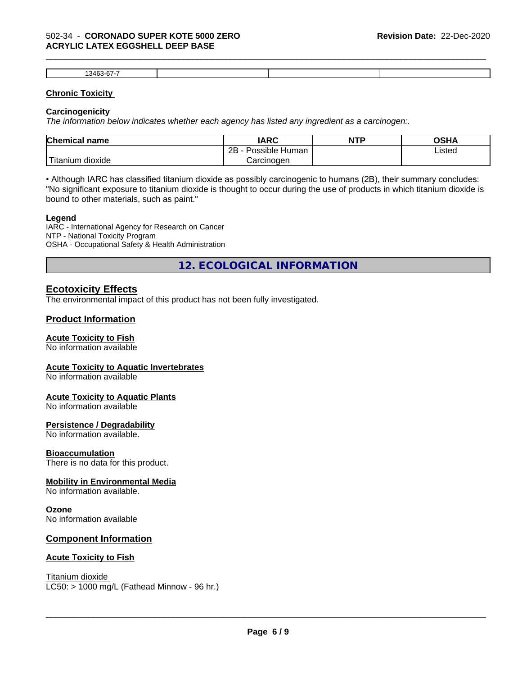#### 502-34 - **CORONADO SUPER KOTE 5000 ZERO ACRYLIC LATEX EGGSHELL DEEP BASE**

| ィハレ |  |  |
|-----|--|--|

\_\_\_\_\_\_\_\_\_\_\_\_\_\_\_\_\_\_\_\_\_\_\_\_\_\_\_\_\_\_\_\_\_\_\_\_\_\_\_\_\_\_\_\_\_\_\_\_\_\_\_\_\_\_\_\_\_\_\_\_\_\_\_\_\_\_\_\_\_\_\_\_\_\_\_\_\_\_\_\_\_\_\_\_\_\_\_\_\_\_\_\_\_

#### **Chronic Toxicity**

#### **Carcinogenicity**

*The information below indicateswhether each agency has listed any ingredient as a carcinogen:.*

| <b>Chemical name</b>             | <b>IARC</b>                      | <b>NTP</b> | OSHA   |
|----------------------------------|----------------------------------|------------|--------|
|                                  | . .<br>2B<br>: Human<br>Possible |            | Listed |
| .<br>, dioxide<br><b>itanium</b> | Carcinoɑen                       |            |        |

• Although IARC has classified titanium dioxide as possibly carcinogenic to humans (2B), their summary concludes: "No significant exposure to titanium dioxide is thought to occur during the use of products in which titanium dioxide is bound to other materials, such as paint."

#### **Legend**

IARC - International Agency for Research on Cancer NTP - National Toxicity Program OSHA - Occupational Safety & Health Administration

**12. ECOLOGICAL INFORMATION**

#### **Ecotoxicity Effects**

The environmental impact of this product has not been fully investigated.

#### **Product Information**

#### **Acute Toxicity to Fish**

No information available

#### **Acute Toxicity to Aquatic Invertebrates**

No information available

#### **Acute Toxicity to Aquatic Plants**

No information available

#### **Persistence / Degradability**

No information available.

#### **Bioaccumulation**

There is no data for this product.

#### **Mobility in Environmental Media**

No information available.

#### **Ozone**

No information available

#### **Component Information**

#### **Acute Toxicity to Fish**

Titanium dioxide  $LC50:$  > 1000 mg/L (Fathead Minnow - 96 hr.)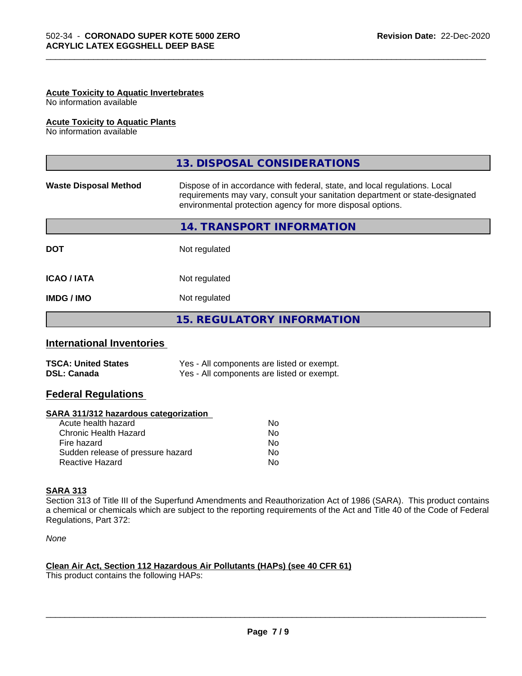#### **Acute Toxicity to Aquatic Invertebrates**

No information available

#### **Acute Toxicity to Aquatic Plants**

No information available

|                              | 13. DISPOSAL CONSIDERATIONS                                                                                                                                                                                               |
|------------------------------|---------------------------------------------------------------------------------------------------------------------------------------------------------------------------------------------------------------------------|
| <b>Waste Disposal Method</b> | Dispose of in accordance with federal, state, and local regulations. Local<br>requirements may vary, consult your sanitation department or state-designated<br>environmental protection agency for more disposal options. |
|                              | 14. TRANSPORT INFORMATION                                                                                                                                                                                                 |
| <b>DOT</b>                   | Not regulated                                                                                                                                                                                                             |
| <b>ICAO/IATA</b>             | Not regulated                                                                                                                                                                                                             |
| <b>IMDG/IMO</b>              | Not regulated                                                                                                                                                                                                             |
|                              | <b>15. REGULATORY INFORMATION</b>                                                                                                                                                                                         |

\_\_\_\_\_\_\_\_\_\_\_\_\_\_\_\_\_\_\_\_\_\_\_\_\_\_\_\_\_\_\_\_\_\_\_\_\_\_\_\_\_\_\_\_\_\_\_\_\_\_\_\_\_\_\_\_\_\_\_\_\_\_\_\_\_\_\_\_\_\_\_\_\_\_\_\_\_\_\_\_\_\_\_\_\_\_\_\_\_\_\_\_\_

#### **International Inventories**

| <b>TSCA: United States</b> | Yes - All components are listed or exempt. |
|----------------------------|--------------------------------------------|
| <b>DSL: Canada</b>         | Yes - All components are listed or exempt. |

#### **Federal Regulations**

#### **SARA 311/312 hazardous categorization**

| No |
|----|
| Nο |
| No |
| Nο |
| N٥ |
|    |

#### **SARA 313**

Section 313 of Title III of the Superfund Amendments and Reauthorization Act of 1986 (SARA). This product contains a chemical or chemicals which are subject to the reporting requirements of the Act and Title 40 of the Code of Federal Regulations, Part 372:

*None*

#### **Clean Air Act,Section 112 Hazardous Air Pollutants (HAPs) (see 40 CFR 61)**

This product contains the following HAPs: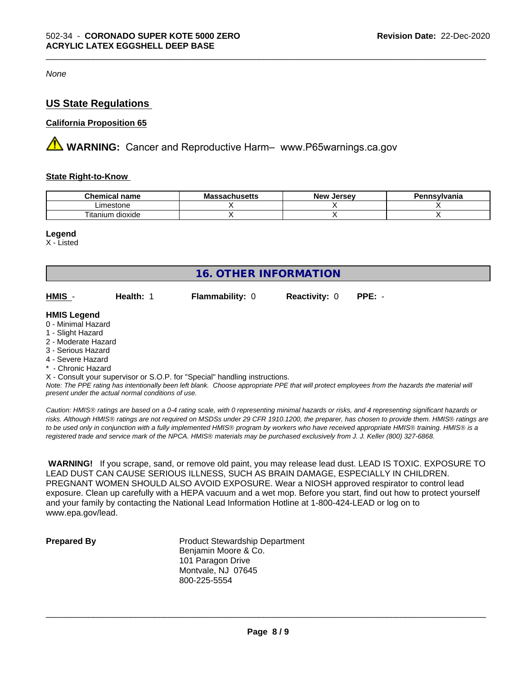*None*

#### **US State Regulations**

#### **California Proposition 65**

**AN** WARNING: Cancer and Reproductive Harm– www.P65warnings.ca.gov

#### **State Right-to-Know**

| <b>Chemical</b><br>name                   | .<br><b>IVIC</b><br>นบเนวษแอ | <b>Jerse</b> v<br>Nev | าnsvlvania |
|-------------------------------------------|------------------------------|-----------------------|------------|
| estone<br>.ımes                           |                              |                       |            |
| $\cdots$<br>--<br>dioxide<br>ιm<br>itanit |                              |                       |            |

\_\_\_\_\_\_\_\_\_\_\_\_\_\_\_\_\_\_\_\_\_\_\_\_\_\_\_\_\_\_\_\_\_\_\_\_\_\_\_\_\_\_\_\_\_\_\_\_\_\_\_\_\_\_\_\_\_\_\_\_\_\_\_\_\_\_\_\_\_\_\_\_\_\_\_\_\_\_\_\_\_\_\_\_\_\_\_\_\_\_\_\_\_

#### **Legend**

X - Listed

| <b>16. OTHER INFORMATION</b>                                                                                                                          |                                                    |                                                                            |                      |                                                                                                                                               |
|-------------------------------------------------------------------------------------------------------------------------------------------------------|----------------------------------------------------|----------------------------------------------------------------------------|----------------------|-----------------------------------------------------------------------------------------------------------------------------------------------|
| HMIS -                                                                                                                                                | Health: 1                                          | <b>Flammability: 0</b>                                                     | <b>Reactivity: 0</b> | $PPE: -$                                                                                                                                      |
| <b>HMIS Legend</b><br>0 - Minimal Hazard<br>1 - Slight Hazard<br>2 - Moderate Hazard<br>3 - Serious Hazard<br>4 - Severe Hazard<br>* - Chronic Hazard | present under the actual normal conditions of use. | X - Consult your supervisor or S.O.P. for "Special" handling instructions. |                      | Note: The PPE rating has intentionally been left blank. Choose appropriate PPE that will protect employees from the hazards the material will |

*Caution: HMISÒ ratings are based on a 0-4 rating scale, with 0 representing minimal hazards or risks, and 4 representing significant hazards or risks. Although HMISÒ ratings are not required on MSDSs under 29 CFR 1910.1200, the preparer, has chosen to provide them. HMISÒ ratings are to be used only in conjunction with a fully implemented HMISÒ program by workers who have received appropriate HMISÒ training. HMISÒ is a registered trade and service mark of the NPCA. HMISÒ materials may be purchased exclusively from J. J. Keller (800) 327-6868.*

 **WARNING!** If you scrape, sand, or remove old paint, you may release lead dust. LEAD IS TOXIC. EXPOSURE TO LEAD DUST CAN CAUSE SERIOUS ILLNESS, SUCH AS BRAIN DAMAGE, ESPECIALLY IN CHILDREN. PREGNANT WOMEN SHOULD ALSO AVOID EXPOSURE. Wear a NIOSH approved respirator to control lead exposure. Clean up carefully with a HEPA vacuum and a wet mop. Before you start, find out how to protect yourself and your family by contacting the National Lead Information Hotline at 1-800-424-LEAD or log on to www.epa.gov/lead.

**Prepared By** Product Stewardship Department Benjamin Moore & Co. 101 Paragon Drive Montvale, NJ 07645 800-225-5554